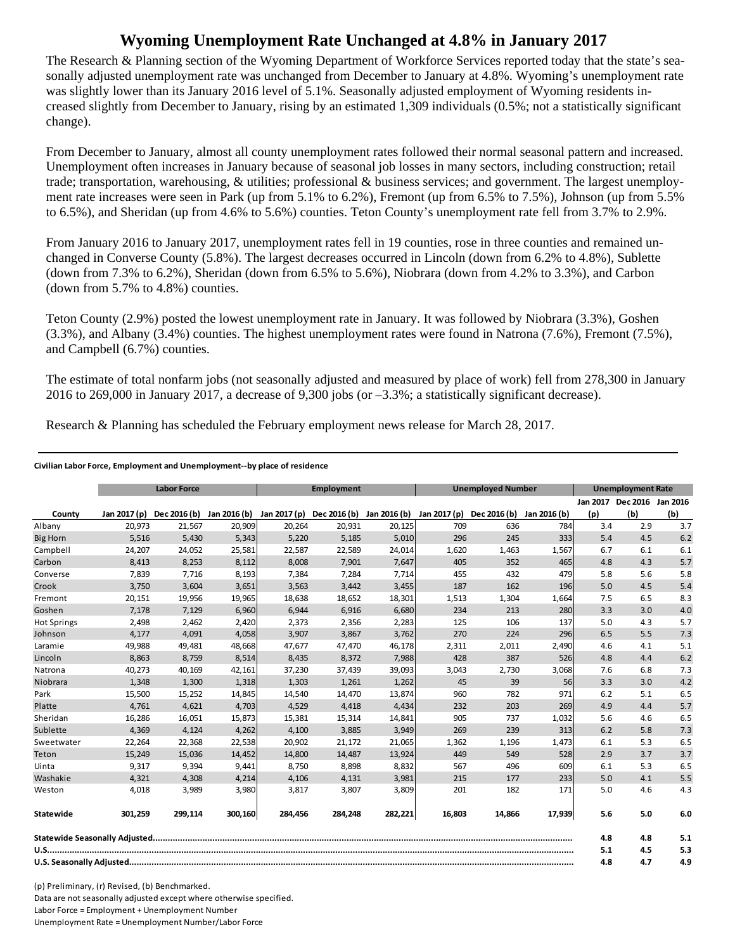## **Wyoming Unemployment Rate Unchanged at 4.8% in January 2017**

The Research & Planning section of the Wyoming Department of Workforce Services reported today that the state's seasonally adjusted unemployment rate was unchanged from December to January at 4.8%. Wyoming's unemployment rate was slightly lower than its January 2016 level of 5.1%. Seasonally adjusted employment of Wyoming residents increased slightly from December to January, rising by an estimated 1,309 individuals (0.5%; not a statistically significant change).

From December to January, almost all county unemployment rates followed their normal seasonal pattern and increased. Unemployment often increases in January because of seasonal job losses in many sectors, including construction; retail trade; transportation, warehousing, & utilities; professional & business services; and government. The largest unemployment rate increases were seen in Park (up from 5.1% to 6.2%), Fremont (up from 6.5% to 7.5%), Johnson (up from 5.5% to 6.5%), and Sheridan (up from 4.6% to 5.6%) counties. Teton County's unemployment rate fell from 3.7% to 2.9%.

From January 2016 to January 2017, unemployment rates fell in 19 counties, rose in three counties and remained unchanged in Converse County (5.8%). The largest decreases occurred in Lincoln (down from 6.2% to 4.8%), Sublette (down from 7.3% to 6.2%), Sheridan (down from 6.5% to 5.6%), Niobrara (down from 4.2% to 3.3%), and Carbon (down from 5.7% to 4.8%) counties.

Teton County (2.9%) posted the lowest unemployment rate in January. It was followed by Niobrara (3.3%), Goshen (3.3%), and Albany (3.4%) counties. The highest unemployment rates were found in Natrona (7.6%), Fremont (7.5%), and Campbell (6.7%) counties.

The estimate of total nonfarm jobs (not seasonally adjusted and measured by place of work) fell from 278,300 in January 2016 to 269,000 in January 2017, a decrease of 9,300 jobs (or –3.3%; a statistically significant decrease).

Research & Planning has scheduled the February employment news release for March 28, 2017.

## **Civilian Labor Force, Employment and Unemployment‐‐by place of residence**

|                    | <b>Labor Force</b> |                           |         | Employment   |                           |         | <b>Unemployed Number</b> |              |              | <b>Unemployment Rate</b> |                            |     |
|--------------------|--------------------|---------------------------|---------|--------------|---------------------------|---------|--------------------------|--------------|--------------|--------------------------|----------------------------|-----|
|                    |                    |                           |         |              |                           |         |                          |              |              |                          | Jan 2017 Dec 2016 Jan 2016 |     |
| County             | Jan 2017 (p)       | Dec 2016 (b) Jan 2016 (b) |         | Jan 2017 (p) | Dec 2016 (b) Jan 2016 (b) |         | Jan 2017 (p)             | Dec 2016 (b) | Jan 2016 (b) | (p)                      | (b)                        | (b) |
| Albany             | 20,973             | 21,567                    | 20,909  | 20,264       | 20,931                    | 20,125  | 709                      | 636          | 784          | 3.4                      | 2.9                        | 3.7 |
| <b>Big Horn</b>    | 5,516              | 5,430                     | 5,343   | 5,220        | 5,185                     | 5,010   | 296                      | 245          | 333          | 5.4                      | 4.5                        | 6.2 |
| Campbell           | 24,207             | 24,052                    | 25,581  | 22,587       | 22,589                    | 24,014  | 1,620                    | 1,463        | 1,567        | 6.7                      | 6.1                        | 6.1 |
| Carbon             | 8,413              | 8,253                     | 8,112   | 8,008        | 7,901                     | 7,647   | 405                      | 352          | 465          | 4.8                      | 4.3                        | 5.7 |
| Converse           | 7,839              | 7,716                     | 8,193   | 7,384        | 7,284                     | 7,714   | 455                      | 432          | 479          | 5.8                      | 5.6                        | 5.8 |
| Crook              | 3,750              | 3,604                     | 3,651   | 3,563        | 3,442                     | 3,455   | 187                      | 162          | 196          | 5.0                      | 4.5                        | 5.4 |
| Fremont            | 20,151             | 19,956                    | 19,965  | 18,638       | 18,652                    | 18,301  | 1,513                    | 1,304        | 1,664        | 7.5                      | 6.5                        | 8.3 |
| Goshen             | 7.178              | 7,129                     | 6,960   | 6.944        | 6,916                     | 6,680   | 234                      | 213          | 280          | 3.3                      | 3.0                        | 4.0 |
| <b>Hot Springs</b> | 2,498              | 2,462                     | 2,420   | 2,373        | 2,356                     | 2,283   | 125                      | 106          | 137          | 5.0                      | 4.3                        | 5.7 |
| Johnson            | 4,177              | 4,091                     | 4,058   | 3,907        | 3,867                     | 3,762   | 270                      | 224          | 296          | 6.5                      | 5.5                        | 7.3 |
| Laramie            | 49,988             | 49,481                    | 48,668  | 47,677       | 47,470                    | 46,178  | 2,311                    | 2,011        | 2,490        | 4.6                      | 4.1                        | 5.1 |
| Lincoln            | 8,863              | 8,759                     | 8,514   | 8,435        | 8,372                     | 7,988   | 428                      | 387          | 526          | 4.8                      | 4.4                        | 6.2 |
| Natrona            | 40,273             | 40,169                    | 42,161  | 37,230       | 37,439                    | 39,093  | 3,043                    | 2,730        | 3,068        | 7.6                      | 6.8                        | 7.3 |
| Niobrara           | 1,348              | 1,300                     | 1,318   | 1,303        | 1,261                     | 1,262   | 45                       | 39           | 56           | 3.3                      | 3.0                        | 4.2 |
| Park               | 15,500             | 15,252                    | 14,845  | 14,540       | 14,470                    | 13,874  | 960                      | 782          | 971          | 6.2                      | 5.1                        | 6.5 |
| Platte             | 4.761              | 4,621                     | 4,703   | 4,529        | 4,418                     | 4,434   | 232                      | 203          | 269          | 4.9                      | 4.4                        | 5.7 |
| Sheridan           | 16,286             | 16,051                    | 15,873  | 15,381       | 15,314                    | 14,841  | 905                      | 737          | 1,032        | 5.6                      | 4.6                        | 6.5 |
| Sublette           | 4,369              | 4,124                     | 4,262   | 4,100        | 3,885                     | 3,949   | 269                      | 239          | 313          | 6.2                      | 5.8                        | 7.3 |
| Sweetwater         | 22,264             | 22,368                    | 22,538  | 20,902       | 21,172                    | 21,065  | 1,362                    | 1,196        | 1,473        | 6.1                      | 5.3                        | 6.5 |
| Teton              | 15,249             | 15,036                    | 14,452  | 14,800       | 14,487                    | 13,924  | 449                      | 549          | 528          | 2.9                      | 3.7                        | 3.7 |
| Uinta              | 9,317              | 9,394                     | 9,441   | 8,750        | 8,898                     | 8,832   | 567                      | 496          | 609          | 6.1                      | 5.3                        | 6.5 |
| Washakie           | 4,321              | 4,308                     | 4,214   | 4,106        | 4,131                     | 3,981   | 215                      | 177          | 233          | 5.0                      | 4.1                        | 5.5 |
| Weston             | 4,018              | 3,989                     | 3,980   | 3,817        | 3,807                     | 3,809   | 201                      | 182          | 171          | 5.0                      | 4.6                        | 4.3 |
| Statewide          | 301,259            | 299,114                   | 300,160 | 284,456      | 284,248                   | 282,221 | 16,803                   | 14,866       | 17,939       | 5.6                      | 5.0                        | 6.0 |
|                    |                    |                           |         |              |                           |         |                          | 4.8          | 4.8          | 5.1                      |                            |     |
|                    |                    |                           |         |              |                           |         |                          | 5.1          | 4.5          | 5.3                      |                            |     |
|                    |                    |                           |         |              |                           |         |                          | 4.8          | 4.7          | 4.9                      |                            |     |

(p) Preliminary, (r) Revised, (b) Benchmarked. Data are not seasonally adjusted except where otherwise specified. Labor Force = Employment + Unemployment Number Unemployment Rate = Unemployment Number/Labor Force